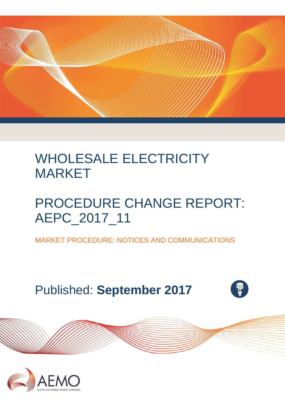

# WHOLESALE ELECTRICITY MARKET

# PROCEDURE CHANGE REPORT: AEPC\_2017\_11

MARKET PROCEDURE: NOTICES AND COMMUNICATIONS

Published: **September 2017**



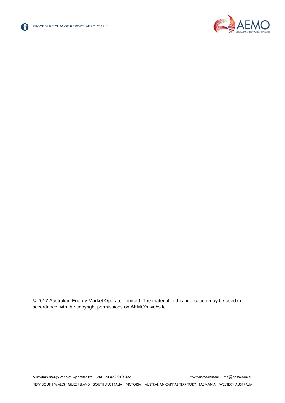



© 2017 Australian Energy Market Operator Limited. The material in this publication may be used in accordance with the [copyright permissions on AEMO's website.](http://aemo.com.au/Privacy_and_Legal_Notices/Copyright_Permissions_Notice)

Australian Energy Market Operator Ltd ABN 94 072 010 327 [www.aemo.com.au](http://www.aemo.com.au/) [info@aemo.com.au](mailto:info@aemo.com.au)

NEW SOUTH WALES QUEENSLAND SOUTH AUSTRALIA VICTORIA AUSTRALIAN CAPITAL TERRITORY TASMANIA WESTERN AUSTRALIA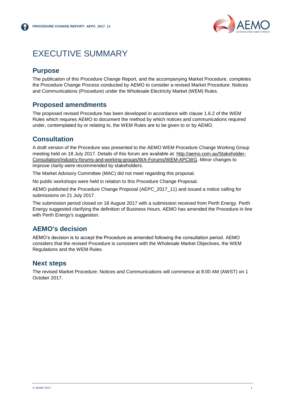

## <span id="page-2-0"></span>EXECUTIVE SUMMARY

#### **Purpose**

The publication of this Procedure Change Report, and the accompanying Market Procedure, completes the Procedure Change Process conducted by AEMO to consider a revised Market Procedure: Notices and Communications (Procedure) under the Wholesale Electricity Market (WEM) Rules.

#### **Proposed amendments**

The proposed revised Procedure has been developed in accordance with clause 1.6.2 of the WEM Rules which requires AEMO to document the method by which notices and communications required under, contemplated by or relating to, the WEM Rules are to be given to or by AEMO.

#### **Consultation**

A draft version of the Procedure was presented to the AEMO WEM Procedure Change Working Group meeting held on 18 July 2017. Details of this forum are available at: [http://aemo.com.au/Stakeholder-](http://aemo.com.au/Stakeholder-Consultation/Industry-forums-and-working-groups/WA-Forums/WEM-APCWG)[Consultation/Industry-forums-and-working-groups/WA-Forums/WEM-APCWG.](http://aemo.com.au/Stakeholder-Consultation/Industry-forums-and-working-groups/WA-Forums/WEM-APCWG) Minor changes to improve clarity were recommended by stakeholders.

The Market Advisory Committee (MAC) did not meet regarding this proposal.

No public workshops were held in relation to this Procedure Change Proposal.

AEMO published the Procedure Change Proposal (AEPC\_2017\_11) and issued a notice calling for submissions on 21 July 2017.

The submission period closed on 18 August 2017 with a submission received from Perth Energy. Perth Energy suggested clarifying the definition of Business Hours. AEMO has amended the Procedure in line with Perth Energy's suggestion.

#### **AEMO's decision**

AEMO's decision is to accept the Procedure as amended following the consultation period. AEMO considers that the revised Procedure is consistent with the Wholesale Market Objectives, the WEM Regulations and the WEM Rules.

#### **Next steps**

The revised Market Procedure: Notices and Communications will commence at 8:00 AM (AWST) on 1 October 2017.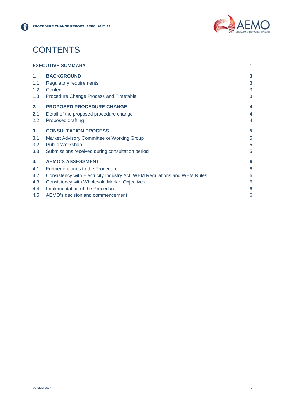

# **CONTENTS**

| <b>EXECUTIVE SUMMARY</b> |                                                                          |   |
|--------------------------|--------------------------------------------------------------------------|---|
| 1 <sub>1</sub>           | <b>BACKGROUND</b>                                                        | 3 |
| 1.1                      | <b>Regulatory requirements</b>                                           | 3 |
| 1.2                      | Context                                                                  | 3 |
| 1.3                      | Procedure Change Process and Timetable                                   | 3 |
| 2.                       | <b>PROPOSED PROCEDURE CHANGE</b>                                         | 4 |
| 2.1                      | Detail of the proposed procedure change                                  | 4 |
| 2.2                      | <b>Proposed drafting</b>                                                 | 4 |
| 3.                       | <b>CONSULTATION PROCESS</b>                                              | 5 |
| 3.1                      | Market Advisory Committee or Working Group                               | 5 |
| 3.2                      | <b>Public Workshop</b>                                                   | 5 |
| 3.3                      | Submissions received during consultation period                          | 5 |
| 4.                       | <b>AEMO'S ASSESSMENT</b>                                                 | 6 |
| 4.1                      | Further changes to the Procedure                                         | 6 |
| 4.2                      | Consistency with Electricity Industry Act, WEM Regulations and WEM Rules | 6 |
| 4.3                      | <b>Consistency with Wholesale Market Objectives</b>                      | 6 |
| 4.4                      | Implementation of the Procedure                                          | 6 |
| 4.5                      | AEMO's decision and commencement                                         | 6 |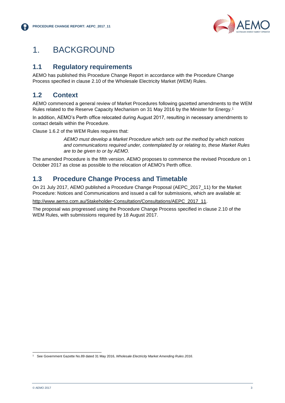

## <span id="page-4-0"></span>1. BACKGROUND

#### <span id="page-4-1"></span>**1.1 Regulatory requirements**

AEMO has published this Procedure Change Report in accordance with the Procedure Change Process specified in clause 2.10 of the Wholesale Electricity Market (WEM) Rules.

### <span id="page-4-2"></span>**1.2 Context**

AEMO commenced a general review of Market Procedures following gazetted amendments to the WEM Rules related to the Reserve Capacity Mechanism on 31 May 2016 by the Minister for Energy.<sup>1</sup>

In addition, AEMO's Perth office relocated during August 2017, resulting in necessary amendments to contact details within the Procedure.

Clause 1.6.2 of the WEM Rules requires that:

*AEMO must develop a Market Procedure which sets out the method by which notices and communications required under, contemplated by or relating to, these Market Rules are to be given to or by AEMO.*

The amended Procedure is the fifth version. AEMO proposes to commence the revised Procedure on 1 October 2017 as close as possible to the relocation of AEMO's Perth office.

#### <span id="page-4-3"></span>**1.3 Procedure Change Process and Timetable**

On 21 July 2017, AEMO published a Procedure Change Proposal (AEPC\_2017\_11) for the Market Procedure: Notices and Communications and issued a call for submissions, which are available at:

[http://www.aemo.com.au/Stakeholder-Consultation/Consultations/AEPC\\_2017\\_11.](http://www.aemo.com.au/Stakeholder-Consultation/Consultations/AEPC_2017_11)

The proposal was progressed using the Procedure Change Process specified in clause 2.10 of the WEM Rules, with submissions required by 18 August 2017.

l <sup>1</sup> See Government Gazette No.89 dated 31 May 2016, *Wholesale Electricity Market Amending Rules 2016*.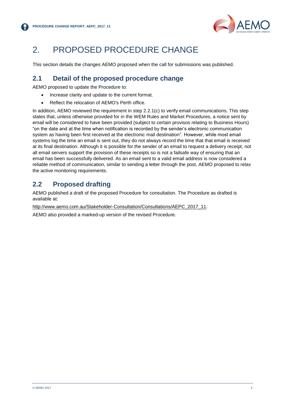

# <span id="page-5-0"></span>2. PROPOSED PROCEDURE CHANGE

This section details the changes AEMO proposed when the call for submissions was published.

#### <span id="page-5-1"></span>**2.1 Detail of the proposed procedure change**

AEMO proposed to update the Procedure to:

- Increase clarity and update to the current format.
- Reflect the relocation of AEMO's Perth office.

In addition, AEMO reviewed the requirement in step 2.2.1(c) to verify email communications. This step states that, unless otherwise provided for in the WEM Rules and Market Procedures, a notice sent by email will be considered to have been provided (subject to certain provisos relating to Business Hours) "on the date and at the time when notification is recorded by the sender's electronic communication system as having been first received at the electronic mail destination". However, while most email systems log the time an email is sent out, they do not always record the time that that email is received at its final destination. Although it is possible for the sender of an email to request a delivery receipt, not all email servers support the provision of these receipts so is not a failsafe way of ensuring that an email has been successfully delivered. As an email sent to a valid email address is now considered a reliable method of communication, similar to sending a letter through the post, AEMO proposed to relax the active monitoring requirements.

#### <span id="page-5-2"></span>**2.2 Proposed drafting**

AEMO published a draft of the proposed Procedure for consultation. The Procedure as drafted is available at:

[http://www.aemo.com.au/Stakeholder-Consultation/Consultations/AEPC\\_2017\\_11.](http://www.aemo.com.au/Stakeholder-Consultation/Consultations/AEPC_2017_11)

AEMO also provided a marked-up version of the revised Procedure.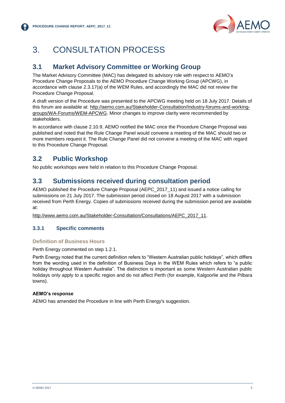

# <span id="page-6-0"></span>3. CONSULTATION PROCESS

#### <span id="page-6-1"></span>**3.1 Market Advisory Committee or Working Group**

The Market Advisory Committee (MAC) has delegated its advisory role with respect to AEMO's Procedure Change Proposals to the AEMO Procedure Change Working Group (APCWG), in accordance with clause 2.3.17(a) of the WEM Rules, and accordingly the MAC did not review the Procedure Change Proposal.

A draft version of the Procedure was presented to the APCWG meeting held on 18 July 2017. Details of this forum are available at: [http://aemo.com.au/Stakeholder-Consultation/Industry-forums-and-working](http://aemo.com.au/Stakeholder-Consultation/Industry-forums-and-working-groups/WA-Forums/WEM-APCWG)[groups/WA-Forums/WEM-APCWG.](http://aemo.com.au/Stakeholder-Consultation/Industry-forums-and-working-groups/WA-Forums/WEM-APCWG) Minor changes to improve clarity were recommended by stakeholders.

In accordance with clause 2.10.9, AEMO notified the MAC once the Procedure Change Proposal was published and noted that the Rule Change Panel would convene a meeting of the MAC should two or more members request it. The Rule Change Panel did not convene a meeting of the MAC with regard to this Procedure Change Proposal.

#### <span id="page-6-2"></span>**3.2 Public Workshop**

No public workshops were held in relation to this Procedure Change Proposal.

#### <span id="page-6-3"></span>**3.3 Submissions received during consultation period**

AEMO published the Procedure Change Proposal (AEPC\_2017\_11) and issued a notice calling for submissions on 21 July 2017. The submission period closed on 18 August 2017 with a submission received from Perth Energy. Copies of submissions received during the submission period are available at:

[http://www.aemo.com.au/Stakeholder-Consultation/Consultations/AEPC\\_2017\\_11.](http://www.aemo.com.au/Stakeholder-Consultation/Consultations/AEPC_2017_11)

#### **3.3.1 Specific comments**

#### **Definition of Business Hours**

Perth Energy commented on step 1.2.1.

Perth Energy noted that the current definition refers to "Western Australian public holidays", which differs from the wording used in the definition of Business Days in the WEM Rules which refers to "a public holiday throughout Western Australia". The distinction is important as some Western Australian public holidays only apply to a specific region and do not affect Perth (for example, Kalgoorlie and the Pilbara towns).

#### **AEMO's response**

AEMO has amended the Procedure in line with Perth Energy's suggestion.